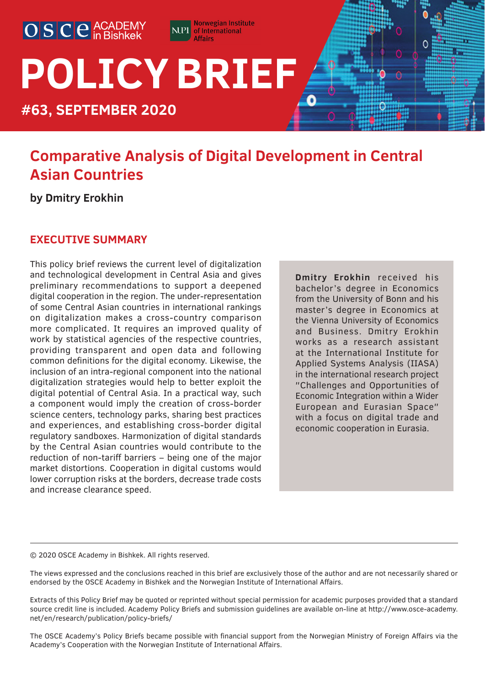

# **POLICY BRIEF**

**#63, SEPTEMBER 2020**

# **Comparative Analysis of Digital Development in Central Asian Countries**

Norwegian Institute

**NPI** of International **Affairs** 

**by Dmitry Erokhin**

# **EXECUTIVE SUMMARY**

This policy brief reviews the current level of digitalization and technological development in Central Asia and gives preliminary recommendations to support a deepened digital cooperation in the region. The under-representation of some Central Asian countries in international rankings on digitalization makes a cross-country comparison more complicated. It requires an improved quality of work by statistical agencies of the respective countries, providing transparent and open data and following common definitions for the digital economy. Likewise, the inclusion of an intra-regional component into the national digitalization strategies would help to better exploit the digital potential of Central Asia. In a practical way, such a component would imply the creation of cross-border science centers, technology parks, sharing best practices and experiences, and establishing cross-border digital regulatory sandboxes. Harmonization of digital standards by the Central Asian countries would contribute to the reduction of non-tariff barriers – being one of the major market distortions. Cooperation in digital customs would lower corruption risks at the borders, decrease trade costs and increase clearance speed.

**Dmitry Erokhin** received his bachelor's degree in Economics from the University of Bonn and his master's degree in Economics at the Vienna University of Economics and Business. Dmitry Erokhin works as a research assistant at the International Institute for Applied Systems Analysis (IIASA) in the international research project ″Challenges and Opportunities of Economic Integration within a Wider European and Eurasian Space″ with a focus on digital trade and economic cooperation in Eurasia.

0

© 2020 OSCE Academy in Bishkek. All rights reserved.

The views expressed and the conclusions reached in this brief are exclusively those of the author and are not necessarily shared or endorsed by the OSCE Academy in Bishkek and the Norwegian Institute of International Affairs.

Extracts of this Policy Brief may be quoted or reprinted without special permission for academic purposes provided that a standard source credit line is included. Academy Policy Briefs and submission guidelines are available on-line at http://www.osce-academy. net/en/research/publication/policy-briefs/

The OSCE Academy's Policy Briefs became possible with financial support from the Norwegian Ministry of Foreign Affairs via the Academy's Cooperation with the Norwegian Institute of International Affairs.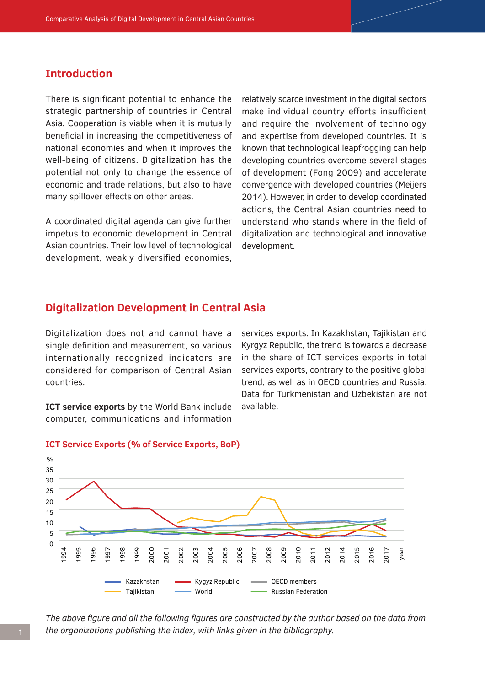# **Introduction**

There is significant potential to enhance the strategic partnership of countries in Central Asia. Cooperation is viable when it is mutually beneficial in increasing the competitiveness of national economies and when it improves the well‐being of citizens. Digitalization has the potential not only to change the essence of economic and trade relations, but also to have many spillover effects on other areas.

A coordinated digital agenda can give further impetus to economic development in Central Asian countries. Their low level of technological development, weakly diversified economies, relatively scarce investment in the digital sectors make individual country efforts insufficient and require the involvement of technology and expertise from developed countries. It is known that technological leapfrogging can help developing countries overcome several stages of development (Fong 2009) and accelerate convergence with developed countries (Meijers 2014). However, in order to develop coordinated actions, the Central Asian countries need to understand who stands where in the field of digitalization and technological and innovative development.

# **Digitalization Development in Central Asia**

Digitalization does not and cannot have a single definition and measurement, so various internationally recognized indicators are considered for comparison of Central Asian countries.

**ICT service exports** by the World Bank include computer, communications and information

services exports. In Kazakhstan, Tajikistan and Kyrgyz Republic, the trend is towards a decrease in the share of ICT services exports in total services exports, contrary to the positive global trend, as well as in OECD countries and Russia. Data for Turkmenistan and Uzbekistan are not available.



#### **ICT Service Exports (% of Service Exports, BoP)**

*The above figure and all the following figures are constructed by the author based on the data from the organizations publishing the index, with links given in the bibliography.*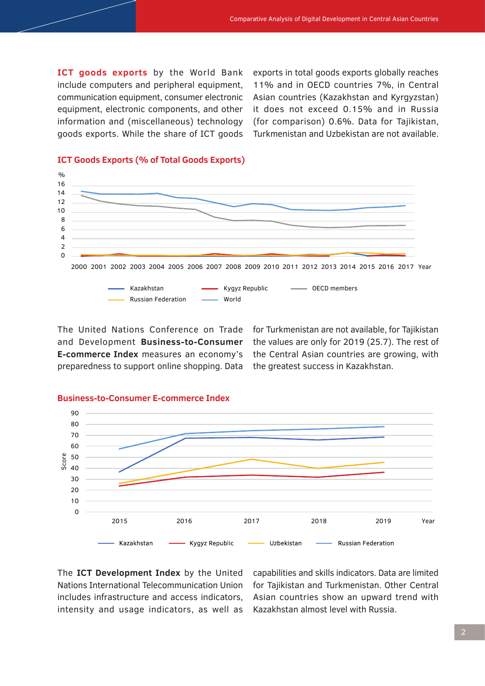**ICT goods exports** by the World Bank include computers and peripheral equipment, communication equipment, consumer electronic equipment, electronic components, and other information and (miscellaneous) technology goods exports. While the share of ICT goods

exports in total goods exports globally reaches 11% and in OECD countries 7%, in Central Asian countries (Kazakhstan and Kyrgyzstan) it does not exceed 0.15% and in Russia (for comparison) 0.6%. Data for Tajikistan, Turkmenistan and Uzbekistan are not available.



#### **ICT Goods Exports (% of Total Goods Exports)**

The United Nations Conference on Trade and Development **Business-to-Consumer E-commerce Index** measures an economy's preparedness to support online shopping. Data

for Turkmenistan are not available, for Tajikistan the values are only for 2019 (25.7). The rest of the Central Asian countries are growing, with the greatest success in Kazakhstan.



#### **Business-to-Consumer E-commerce Index**

The **ICT Development Index** by the United Nations International Telecommunication Union includes infrastructure and access indicators, intensity and usage indicators, as well as

capabilities and skills indicators. Data are limited for Tajikistan and Turkmenistan. Other Central Asian countries show an upward trend with Kazakhstan almost level with Russia.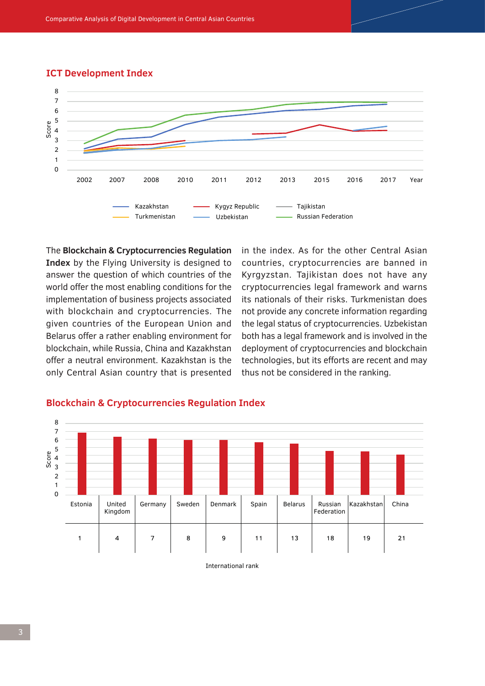#### **ICT Development Index**



The **Blockchain & Cryptocurrencies Regulation Index** by the Flying University is designed to answer the question of which countries of the world offer the most enabling conditions for the implementation of business projects associated with blockchain and cryptocurrencies. The given countries of the European Union and Belarus offer a rather enabling environment for blockchain, while Russia, China and Kazakhstan offer a neutral environment. Kazakhstan is the only Central Asian country that is presented in the index. As for the other Central Asian countries, cryptocurrencies are banned in Kyrgyzstan. Tajikistan does not have any cryptocurrencies legal framework and warns its nationals of their risks. Turkmenistan does not provide any concrete information regarding the legal status of cryptocurrencies. Uzbekistan both has a legal framework and is involved in the deployment of cryptocurrencies and blockchain technologies, but its efforts are recent and may thus not be considered in the ranking.



#### **Blockchain & Cryptocurrencies Regulation Index**

International rank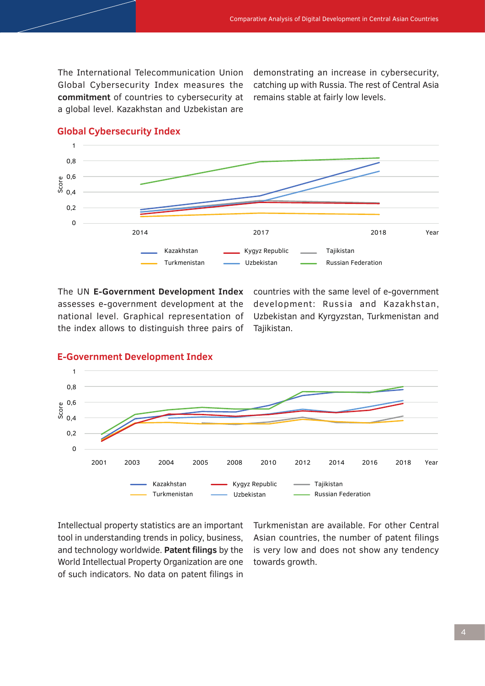The International Telecommunication Union Global Cybersecurity Index measures the **commitment** of countries to cybersecurity at a global level. Kazakhstan and Uzbekistan are

demonstrating an increase in cybersecurity, catching up with Russia. The rest of Central Asia remains stable at fairly low levels.



#### **Global Cybersecurity Index**

assesses e-government development at the national level. Graphical representation of the index allows to distinguish three pairs of

The UN **E-Government Development Index** countries with the same level of e-government development: Russia and Kazakhstan, Uzbekistan and Kyrgyzstan, Turkmenistan and Tajikistan.



#### **E-Government Development Index**

Intellectual property statistics are an important tool in understanding trends in policy, business, and technology worldwide. **Patent filings** by the World Intellectual Property Organization are one of such indicators. No data on patent filings in

Turkmenistan are available. For other Central Asian countries, the number of patent filings is very low and does not show any tendency towards growth.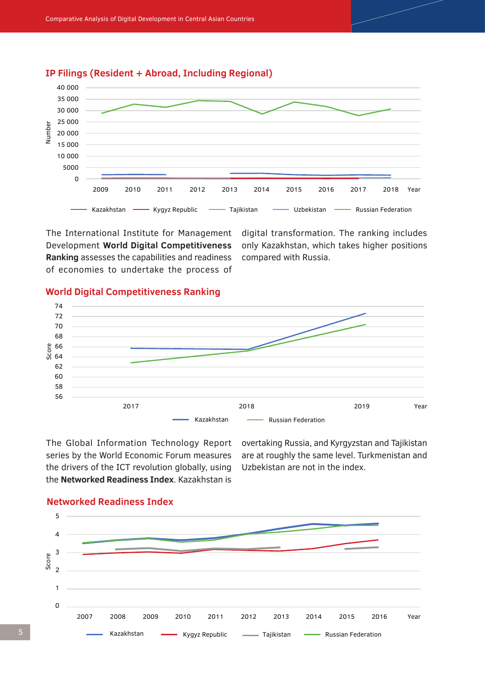

**IP Filings (Resident + Abroad, Including Regional)** 

The International Institute for Management Development **World Digital Competitiveness Ranking** assesses the capabilities and readiness of economies to undertake the process of

digital transformation. The ranking includes only Kazakhstan, which takes higher positions compared with Russia.

#### **World Digital Competitiveness Ranking**



The Global Information Technology Report series by the World Economic Forum measures the drivers of the ICT revolution globally, using the **Networked Readiness Index**. Kazakhstan is

overtaking Russia, and Kyrgyzstan and Tajikistan are at roughly the same level. Turkmenistan and Uzbekistan are not in the index.



### **Networked Readiness Index**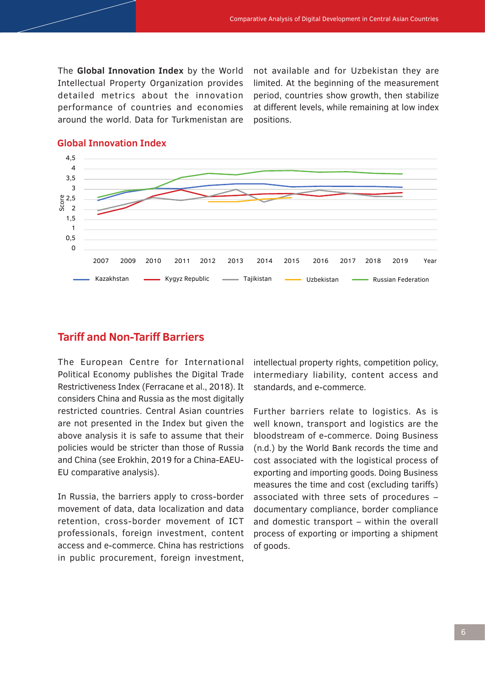The **Global Innovation Index** by the World Intellectual Property Organization provides detailed metrics about the innovation performance of countries and economies around the world. Data for Turkmenistan are not available and for Uzbekistan they are limited. At the beginning of the measurement period, countries show growth, then stabilize at different levels, while remaining at low index positions.



#### **Global Innovation Index**

# **Tariff and Non-Tariff Barriers**

The European Centre for International Political Economy publishes the Digital Trade Restrictiveness Index (Ferracane et al., 2018). It considers China and Russia as the most digitally restricted countries. Central Asian countries are not presented in the Index but given the above analysis it is safe to assume that their policies would be stricter than those of Russia and China (see Erokhin, 2019 for a China-EAEU-EU comparative analysis).

In Russia, the barriers apply to cross-border movement of data, data localization and data retention, cross-border movement of ICT professionals, foreign investment, content access and e-commerce. China has restrictions in public procurement, foreign investment, intellectual property rights, competition policy, intermediary liability, content access and standards, and e-commerce.

Further barriers relate to logistics. As is well known, transport and logistics are the bloodstream of e-commerce. Doing Business (n.d.) by the World Bank records the time and cost associated with the logistical process of exporting and importing goods. Doing Business measures the time and cost (excluding tariffs) associated with three sets of procedures – documentary compliance, border compliance and domestic transport – within the overall process of exporting or importing a shipment of goods.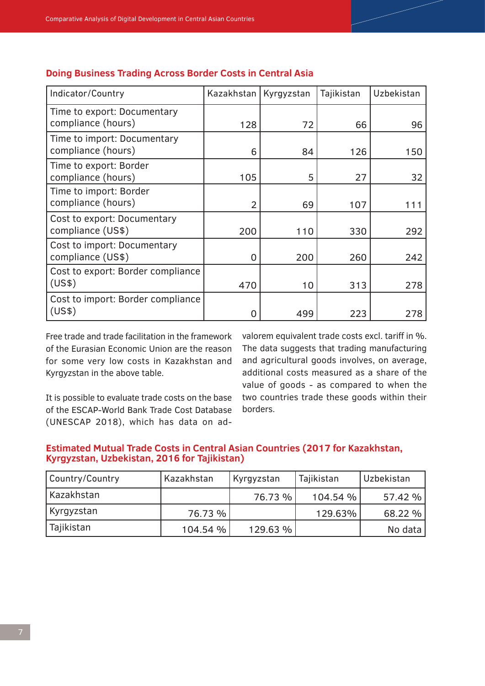| Indicator/Country                                 | Kazakhstan     | Kyrgyzstan | Tajikistan | Uzbekistan |
|---------------------------------------------------|----------------|------------|------------|------------|
| Time to export: Documentary<br>compliance (hours) | 128            | 72         | 66         | 96         |
| Time to import: Documentary<br>compliance (hours) | 6              | 84         | 126        | 150        |
| Time to export: Border<br>compliance (hours)      | 105            | 5          | 27         | 32         |
| Time to import: Border<br>compliance (hours)      | $\overline{2}$ | 69         | 107        | 111        |
| Cost to export: Documentary<br>compliance (US\$)  | 200            | 110        | 330        | 292        |
| Cost to import: Documentary<br>compliance (US\$)  | $\overline{0}$ | 200        | 260        | 242        |
| Cost to export: Border compliance<br>(US\$)       | 470            | 10         | 313        | 278        |
| Cost to import: Border compliance<br>(US\$)       | O              | 499        | 223        | 278        |

#### **Doing Business Trading Across Border Costs in Central Asia**

Free trade and trade facilitation in the framework of the Eurasian Economic Union are the reason for some very low costs in Kazakhstan and Kyrgyzstan in the above table.

It is possible to evaluate trade costs on the base of the ESCAP-World Bank Trade Cost Database (UNESCAP 2018), which has data on ad-

valorem equivalent trade costs excl. tariff in %. The data suggests that trading manufacturing and agricultural goods involves, on average, additional costs measured as a share of the value of goods - as compared to when the two countries trade these goods within their borders.

#### **Estimated Mutual Trade Costs in Central Asian Countries (2017 for Kazakhstan, Kyrgyzstan, Uzbekistan, 2016 for Tajikistan)**

| Country/Country | Kazakhstan | Kyrgyzstan | Tajikistan | Uzbekistan |
|-----------------|------------|------------|------------|------------|
| Kazakhstan      |            | 76.73 %    | 104.54 %   | 57.42 %    |
| Kyrgyzstan      | 76.73 %    |            | 129.63%    | 68.22 %    |
| Tajikistan      | 104.54 %   | 129.63%    |            | No data    |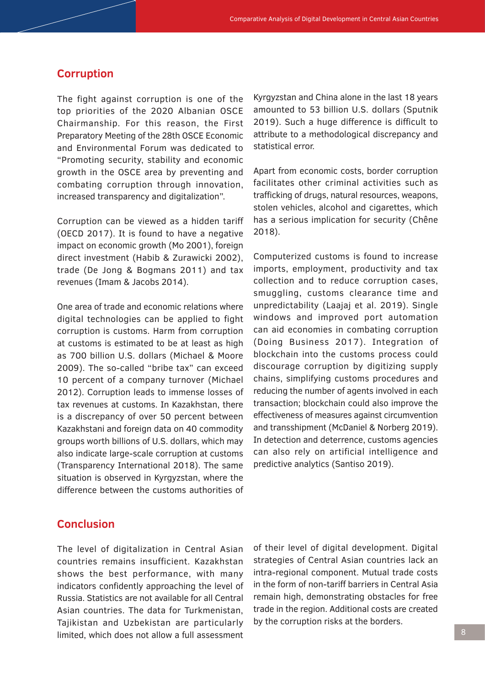### **Corruption**

The fight against corruption is one of the top priorities of the 2020 Albanian OSCE Chairmanship. For this reason, the First Preparatory Meeting of the 28th OSCE Economic and Environmental Forum was dedicated to "Promoting security, stability and economic growth in the OSCE area by preventing and combating corruption through innovation, increased transparency and digitalization".

Corruption can be viewed as a hidden tariff (OECD 2017). It is found to have a negative impact on economic growth (Mo 2001), foreign direct investment (Habib & Zurawicki 2002), trade (De Jong & Bogmans 2011) and tax revenues (Imam & Jacobs 2014).

One area of trade and economic relations where digital technologies can be applied to fight corruption is customs. Harm from corruption at customs is estimated to be at least as high as 700 billion U.S. dollars (Michael & Moore 2009). The so-called "bribe tax" can exceed 10 percent of a company turnover (Michael 2012). Corruption leads to immense losses of tax revenues at customs. In Kazakhstan, there is a discrepancy of over 50 percent between Kazakhstani and foreign data on 40 commodity groups worth billions of U.S. dollars, which may also indicate large-scale corruption at customs (Transparency International 2018). The same situation is observed in Kyrgyzstan, where the difference between the customs authorities of Kyrgyzstan and China alone in the last 18 years amounted to 53 billion U.S. dollars (Sputnik 2019). Such a huge difference is difficult to attribute to a methodological discrepancy and statistical error.

Apart from economic costs, border corruption facilitates other criminal activities such as trafficking of drugs, natural resources, weapons, stolen vehicles, alcohol and cigarettes, which has a serious implication for security (Chêne 2018).

Computerized customs is found to increase imports, employment, productivity and tax collection and to reduce corruption cases, smuggling, customs clearance time and unpredictability (Laajaj et al. 2019). Single windows and improved port automation can aid economies in combating corruption (Doing Business 2017). Integration of blockchain into the customs process could discourage corruption by digitizing supply chains, simplifying customs procedures and reducing the number of agents involved in each transaction; blockchain could also improve the effectiveness of measures against circumvention and transshipment (McDaniel & Norberg 2019). In detection and deterrence, customs agencies can also rely on artificial intelligence and predictive analytics (Santiso 2019).

# **Conclusion**

The level of digitalization in Central Asian countries remains insufficient. Kazakhstan shows the best performance, with many indicators confidently approaching the level of Russia. Statistics are not available for all Central Asian countries. The data for Turkmenistan, Tajikistan and Uzbekistan are particularly limited, which does not allow a full assessment

of their level of digital development. Digital strategies of Central Asian countries lack an intra-regional component. Mutual trade costs in the form of non-tariff barriers in Central Asia remain high, demonstrating obstacles for free trade in the region. Additional costs are created by the corruption risks at the borders.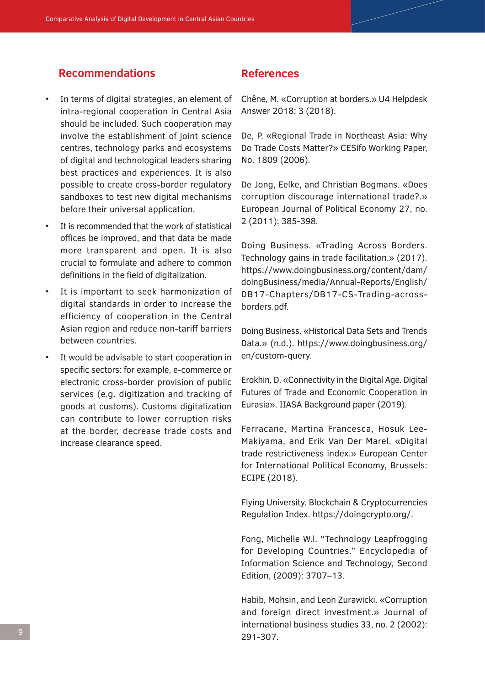# **Recommendations**

- In terms of digital strategies, an element of intra-regional cooperation in Central Asia should be included. Such cooperation may involve the establishment of joint science centres, technology parks and ecosystems of digital and technological leaders sharing best practices and experiences. It is also possible to create cross-border regulatory sandboxes to test new digital mechanisms before their universal application.
- It is recommended that the work of statistical offices be improved, and that data be made more transparent and open. It is also crucial to formulate and adhere to common definitions in the field of digitalization.
- It is important to seek harmonization of digital standards in order to increase the efficiency of cooperation in the Central Asian region and reduce non-tariff barriers between countries.
- It would be advisable to start cooperation in specific sectors: for example, e-commerce or electronic cross-border provision of public services (e.g. digitization and tracking of goods at customs). Customs digitalization can contribute to lower corruption risks at the border, decrease trade costs and increase clearance speed.

## **References**

Chêne, M. «Corruption at borders.» U4 Helpdesk Answer 2018: 3 (2018).

De, P. «Regional Trade in Northeast Asia: Why Do Trade Costs Matter?» CESifo Working Paper, No. 1809 (2006).

De Jong, Eelke, and Christian Bogmans. «Does corruption discourage international trade?.» European Journal of Political Economy 27, no. 2 (2011): 385-398.

Doing Business. «Trading Across Borders. Technology gains in trade facilitation.» (2017). https://www.doingbusiness.org/content/dam/ doingBusiness/media/Annual-Reports/English/ DB17-Chapters/DB17-CS-Trading-acrossborders.pdf.

Doing Business. «Historical Data Sets and Trends Data.» (n.d.). https://www.doingbusiness.org/ en/custom-query.

Erokhin, D. «Connectivity in the Digital Age. Digital Futures of Trade and Economic Cooperation in Eurasia». IIASA Background paper (2019).

Ferracane, Martina Francesca, Hosuk Lee-Makiyama, and Erik Van Der Marel. «Digital trade restrictiveness index.» European Center for International Political Economy, Brussels: ECIPE (2018).

Flying University. Blockchain & Cryptocurrencies Regulation Index. https://doingcrypto.org/.

Fong, Michelle W.l. "Technology Leapfrogging for Developing Countries." Encyclopedia of Information Science and Technology, Second Edition, (2009): 3707–13.

Habib, Mohsin, and Leon Zurawicki. «Corruption and foreign direct investment.» Journal of international business studies 33, no. 2 (2002): 291-307.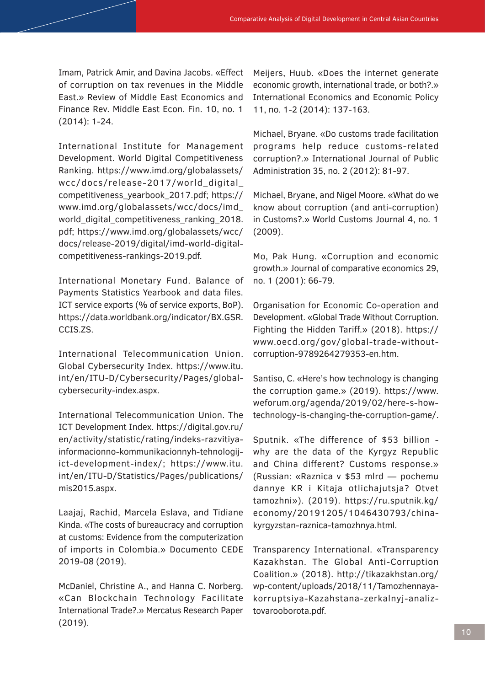Imam, Patrick Amir, and Davina Jacobs. «Effect of corruption on tax revenues in the Middle East.» Review of Middle East Economics and Finance Rev. Middle East Econ. Fin. 10, no. 1 (2014): 1-24.

International Institute for Management Development. World Digital Competitiveness Ranking. https://www.imd.org/globalassets/ wcc/docs/release-2017/world\_digital\_ competitiveness\_yearbook\_2017.pdf; https:// www.imd.org/globalassets/wcc/docs/imd\_ world digital competitiveness ranking 2018. pdf; https://www.imd.org/globalassets/wcc/ docs/release-2019/digital/imd-world-digitalcompetitiveness-rankings-2019.pdf.

International Monetary Fund. Balance of Payments Statistics Yearbook and data files. ICT service exports (% of service exports, BoP). https://data.worldbank.org/indicator/BX.GSR. CCIS.ZS.

International Telecommunication Union. Global Cybersecurity Index. https://www.itu. int/en/ITU-D/Cybersecurity/Pages/globalcybersecurity-index.aspx.

International Telecommunication Union. The ICT Development Index. https://digital.gov.ru/ en/activity/statistic/rating/indeks-razvitiyainformacionno-kommunikacionnyh-tehnologijict-development-index/; https://www.itu. int/en/ITU-D/Statistics/Pages/publications/ mis2015.aspx.

Laajaj, Rachid, Marcela Eslava, and Tidiane Kinda. «The costs of bureaucracy and corruption at customs: Evidence from the computerization of imports in Colombia.» Documento CEDE 2019-08 (2019).

McDaniel, Christine A., and Hanna C. Norberg. «Can Blockchain Technology Facilitate International Trade?.» Mercatus Research Paper (2019).

Meijers, Huub. «Does the internet generate economic growth, international trade, or both?.» International Economics and Economic Policy 11, no. 1-2 (2014): 137-163.

Michael, Bryane. «Do customs trade facilitation programs help reduce customs-related corruption?.» International Journal of Public Administration 35, no. 2 (2012): 81-97.

Michael, Bryane, and Nigel Moore. «What do we know about corruption (and anti-corruption) in Customs?.» World Customs Journal 4, no. 1 (2009).

Mo, Pak Hung. «Corruption and economic growth.» Journal of comparative economics 29, no. 1 (2001): 66-79.

Organisation for Economic Co-operation and Development. «Global Trade Without Corruption. Fighting the Hidden Tariff.» (2018). https:// www.oecd.org/gov/global-trade-withoutcorruption-9789264279353-en.htm.

Santiso, C. «Here's how technology is changing the corruption game.» (2019). https://www. weforum.org/agenda/2019/02/here-s-howtechnology-is-changing-the-corruption-game/.

Sputnik. «The difference of \$53 billion why are the data of the Kyrgyz Republic and China different? Customs response.» (Russian: «Raznica v \$53 mlrd — pochemu dannye KR i Kitaja otlichajutsja? Otvet tamozhni»). (2019). https://ru.sputnik.kg/ economy/20191205/1046430793/chinakyrgyzstan-raznica-tamozhnya.html.

Transparency International. «Transparency Kazakhstan. The Global Anti-Corruption Coalition.» (2018). http://tikazakhstan.org/ wp-content/uploads/2018/11/Tamozhennayakorruptsiya-Kazahstana-zerkalnyj-analiztovarooborota.pdf.